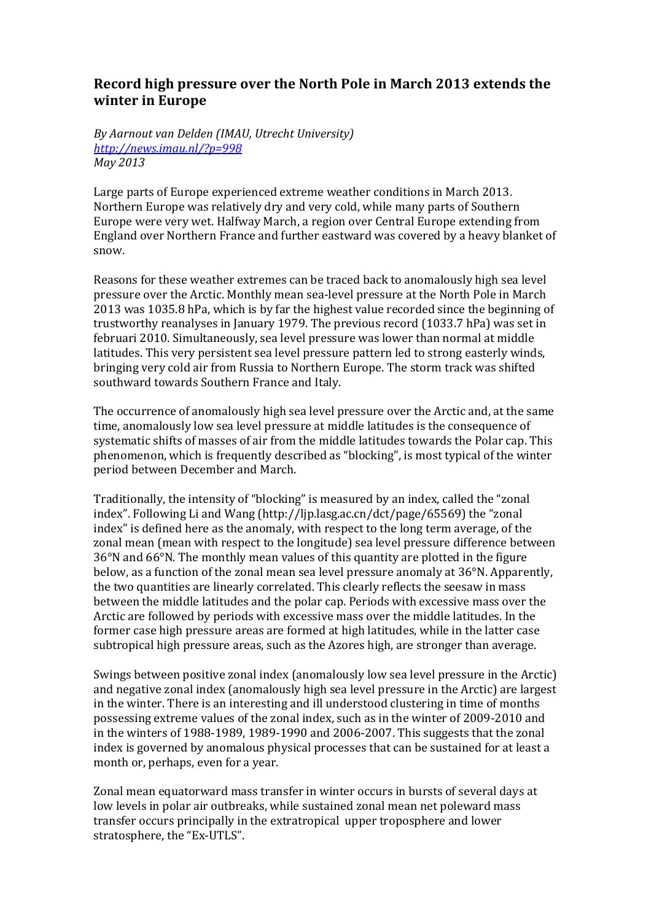## Record high pressure over the North Pole in March 2013 extends the **winter in Europe**

By Aarnout van Delden (IMAU, Utrecht University) *http://news.imau.nl/?p=998 May 2013*

Large parts of Europe experienced extreme weather conditions in March 2013. Northern Europe was relatively dry and very cold, while many parts of Southern Europe were very wet. Halfway March, a region over Central Europe extending from England over Northern France and further eastward was covered by a heavy blanket of snow. 

Reasons for these weather extremes can be traced back to anomalously high sea level pressure over the Arctic. Monthly mean sea-level pressure at the North Pole in March 2013 was 1035.8 hPa, which is by far the highest value recorded since the beginning of trustworthy reanalyses in January 1979. The previous record (1033.7 hPa) was set in februari 2010. Simultaneously, sea level pressure was lower than normal at middle latitudes. This very persistent sea level pressure pattern led to strong easterly winds, bringing very cold air from Russia to Northern Europe. The storm track was shifted southward towards Southern France and Italy.

The occurrence of anomalously high sea level pressure over the Arctic and, at the same time, anomalously low sea level pressure at middle latitudes is the consequence of systematic shifts of masses of air from the middle latitudes towards the Polar cap. This phenomenon, which is frequently described as "blocking", is most typical of the winter period between December and March.

Traditionally, the intensity of "blocking" is measured by an index, called the "zonal index". Following Li and Wang (http://lip.lasg.ac.cn/dct/page/65569) the "zonal index" is defined here as the anomaly, with respect to the long term average, of the zonal mean (mean with respect to the longitude) sea level pressure difference between  $36^{\circ}$ N and  $66^{\circ}$ N. The monthly mean values of this quantity are plotted in the figure below, as a function of the zonal mean sea level pressure anomaly at  $36^\circ$ N. Apparently, the two quantities are linearly correlated. This clearly reflects the seesaw in mass between the middle latitudes and the polar cap. Periods with excessive mass over the Arctic are followed by periods with excessive mass over the middle latitudes. In the former case high pressure areas are formed at high latitudes, while in the latter case subtropical high pressure areas, such as the Azores high, are stronger than average.

Swings between positive zonal index (anomalously low sea level pressure in the Arctic) and negative zonal index (anomalously high sea level pressure in the Arctic) are largest in the winter. There is an interesting and ill understood clustering in time of months possessing extreme values of the zonal index, such as in the winter of 2009-2010 and in the winters of  $1988-1989$ ,  $1989-1990$  and  $2006-2007$ . This suggests that the zonal index is governed by anomalous physical processes that can be sustained for at least a month or, perhaps, even for a year.

Zonal mean equatorward mass transfer in winter occurs in bursts of several days at low levels in polar air outbreaks, while sustained zonal mean net poleward mass transfer occurs principally in the extratropical upper troposphere and lower stratosphere, the "Ex-UTLS".